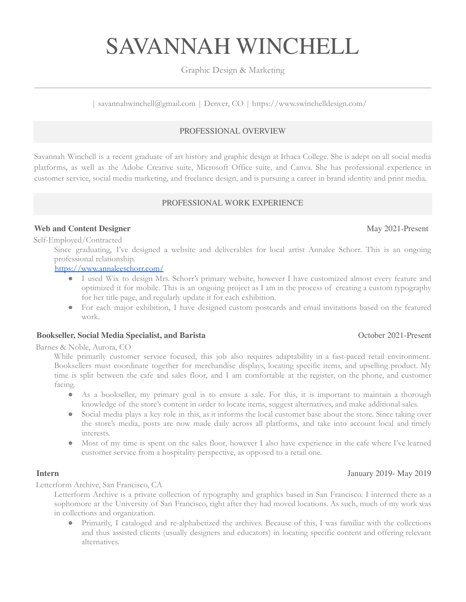# SAVANNAH WINCHELL

# Graphic Design & Marketing

| savannahwinchell@gmail.com | Denver, CO | https://www.swinchelldesign.com/

# PROFESSIONAL OVERVIEW

Savannah Winchell is a recent graduate of art history and graphic design at Ithaca College. She is adept on all social media platforms, as well as the Adobe Creative suite, Microsoft Office suite, and Canva. She has professional experience in customer service, social media marketing, and freelance design, and is pursuing a career in brand identity and print media.

### PROFESSIONAL WORK EXPERIENCE

## **Web and Content Designer** May 2021-Present

Self-Employed/Contracted Since graduating, I've designed a website and deliverables for local artist Annalee Schorr. This is an ongoing professional relationship.

### <https://www.annaleeschorr.com/>

- I used Wix to design Mrs. Schorr's primary website, however I have customized almost every feature and optimized it for mobile. This is an ongoing project as I am in the process of creating a custom typography for her title page, and regularly update it for each exhibition.
- For each major exhibition, I have designed custom postcards and email invitations based on the featured work.

### **Bookseller, Social Media Specialist, and Barista** October 2021-Present

Barnes & Noble, Aurora, CO

While primarily customer service focused, this job also requires adaptability in a fast-paced retail environment. Booksellers must coordinate together for merchandise displays, locating specific items, and upselling product. My time is split between the cafe and sales floor, and I am comfortable at the register, on the phone, and customer facing.

- As a bookseller, my primary goal is to ensure a sale. For this, it is important to maintain a thorough knowledge of the store's content in order to locate items, suggest alternatives, and make additional sales.
- Social media plays a key role in this, as it informs the local customer base about the store. Since taking over the store's media, posts are now made daily across all platforms, and take into account local and timely interests.
- Most of my time is spent on the sales floor, however I also have experience in the cafe where I've learned customer service from a hospitality perspective, as opposed to a retail one.

### **Intern** January 2019- May 2019

Letterform Archive, San Francisco, CA

Letterform Archive is a private collection of typography and graphics based in San Francisco. I interned there as a sophomore at the University of San Francisco, right after they had moved locations. As such, much of my work was in collections and organization.

● Primarily, I cataloged and re-alphabetized the archives. Because of this, I was familiar with the collections and thus assisted clients (usually designers and educators) in locating specific content and offering relevant alternatives.